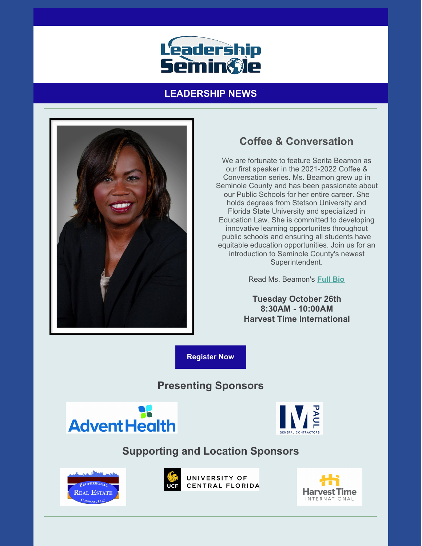

## **LEADERSHIP NEWS**



# **Coffee & Conversation**

We are fortunate to feature Serita Beamon as our first speaker in the 2021-2022 Coffee & Conversation series. Ms. Beamon grew up in Seminole County and has been passionate about our Public Schools for her entire career. She holds degrees from Stetson University and Florida State University and specialized in Education Law. She is committed to developing innovative learning opportunites throughout public schools and ensuring all students have equitable education opportunities. Join us for an introduction to Seminole County's newest Superintendent.

Read Ms. Beamon's **[Full](https://files.constantcontact.com/206c3f27be/7f0cc68b-44ee-4c3a-8a24-2a2d502ad38a.pdf) Bio**

**Tuesday October 26th 8:30AM - 10:00AM Harvest Time International**

**[Register](https://leadershipseminole.org/event/coffee-conversation/) Now**

## **Presenting Sponsors**





## **Supporting and Location Sponsors**





UNIVERSITY OF CENTRAL FLORIDA

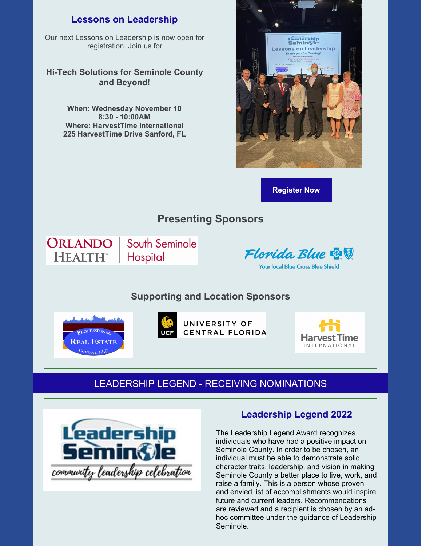#### **Lessons on Leadership**

Our next Lessons on Leadership is now open for registration. Join us for

#### **Hi-Tech Solutions for Seminole County and Beyond!**

**When: Wednesday November 10 8:30 - 10:00AM Where: HarvestTime International 225 HarvestTime Drive Sanford, FL**



**[Register](https://leadershipseminole.org/event/lessonsonleadership/) Now**

## **Presenting Sponsors**

ORLANDO **HEALTH®** 

South Seminole **Hospital** 

Florida Blue **& V** 

**Your local Blue Cross Blue Shield** 

### **Supporting and Location Sponsors**





UNIVERSITY OF CENTRAL FLORIDA



### LEADERSHIP LEGEND - RECEIVING NOMINATIONS



#### **Leadership Legend 2022**

The Leadership Legend Award recognizes individuals who have had a positive impact on Seminole County. In order to be chosen, an individual must be able to demonstrate solid character traits, leadership, and vision in making Seminole County a better place to live, work, and raise a family. This is a person whose proven and envied list of accomplishments would inspire future and current leaders. Recommendations are reviewed and a recipient is chosen by an adhoc committee under the guidance of Leadership Seminole.